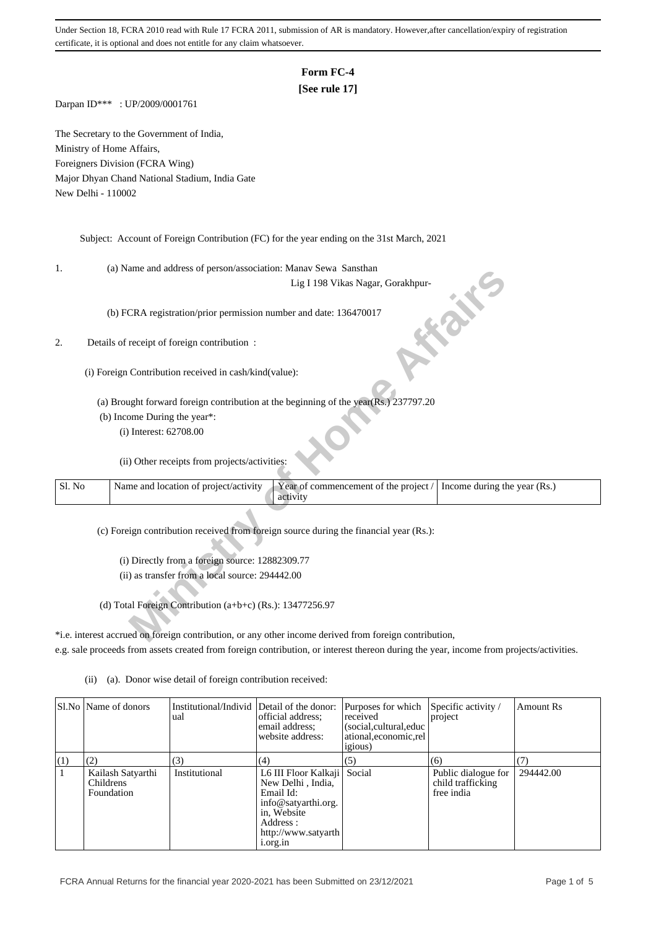# **Form FC-4**

### **[See rule 17]**

Darpan ID\*\*\* : UP/2009/0001761

The Secretary to the Government of India, Ministry of Home Affairs, Foreigners Division (FCRA Wing) Major Dhyan Chand National Stadium, India Gate New Delhi - 110002

Subject: Account of Foreign Contribution (FC) for the year ending on the 31st March, 2021

1. (a) Name and address of person/association: Manav Sewa Sansthan

#### 2. Details of receipt of foreign contribution :

- (b) Income During the year\*:
	- (i) Interest: 62708.00

|        | (a) ivalue and address of person/association. Manay Sewa Sansulan                                                          |
|--------|----------------------------------------------------------------------------------------------------------------------------|
|        | Lig I 198 Vikas Nagar, Gorakhpur-                                                                                          |
|        | (b) FCRA registration/prior permission number and date: 136470017                                                          |
|        | Details of receipt of foreign contribution :                                                                               |
|        | (i) Foreign Contribution received in cash/kind(value):                                                                     |
|        | (a) Brought forward foreign contribution at the beginning of the year(Rs.) 237797.20                                       |
|        | (b) Income During the year*:                                                                                               |
|        | (i) Interest: 62708.00                                                                                                     |
|        | (ii) Other receipts from projects/activities:                                                                              |
| Sl. No | Year of commencement of the project /<br>Name and location of project/activity<br>Income during the year (Rs.)<br>activity |
|        | (c) Foreign contribution received from foreign source during the financial year (Rs.):                                     |
|        |                                                                                                                            |
|        | (i) Directly from a foreign source: 12882309.77                                                                            |
|        | (ii) as transfer from a local source: 294442.00                                                                            |
|        | (d) Total Foreign Contribution (a+b+c) (Rs.): 13477256.97                                                                  |
|        | *i.e. interest accrued on foreign contribution, or any other income derived from foreign contribution,                     |

\*i.e. interest accrued on foreign contribution, or any other income derived from foreign contribution, e.g. sale proceeds from assets created from foreign contribution, or interest thereon during the year, income from projects/activities.

|            | Sl.No   Name of donors                                     | Institutional/Individ Detail of the donor:<br>ual | official address:<br>email address:<br>website address:                                                                                                                  | Purposes for which<br>received<br>(social, cultural, educ<br>ational, economic, rel<br><i>igious</i> ) | Specific activity /<br>project                                | <b>Amount Rs</b> |
|------------|------------------------------------------------------------|---------------------------------------------------|--------------------------------------------------------------------------------------------------------------------------------------------------------------------------|--------------------------------------------------------------------------------------------------------|---------------------------------------------------------------|------------------|
| $\vert(1)$ | (2)<br>Kailash Satyarthi<br><b>Childrens</b><br>Foundation | (3)<br>Institutional                              | (4)<br>L6 III Floor Kalkaji   Social<br>New Delhi, India,<br>Email Id:<br>info@satyarthi.org.<br>in, Website<br>Address :<br>http://www.satyarth<br>1.0 <sub>rg.1n</sub> | (5)                                                                                                    | (6)<br>Public dialogue for<br>child trafficking<br>free india | 294442.00        |

(ii) (a). Donor wise detail of foreign contribution received: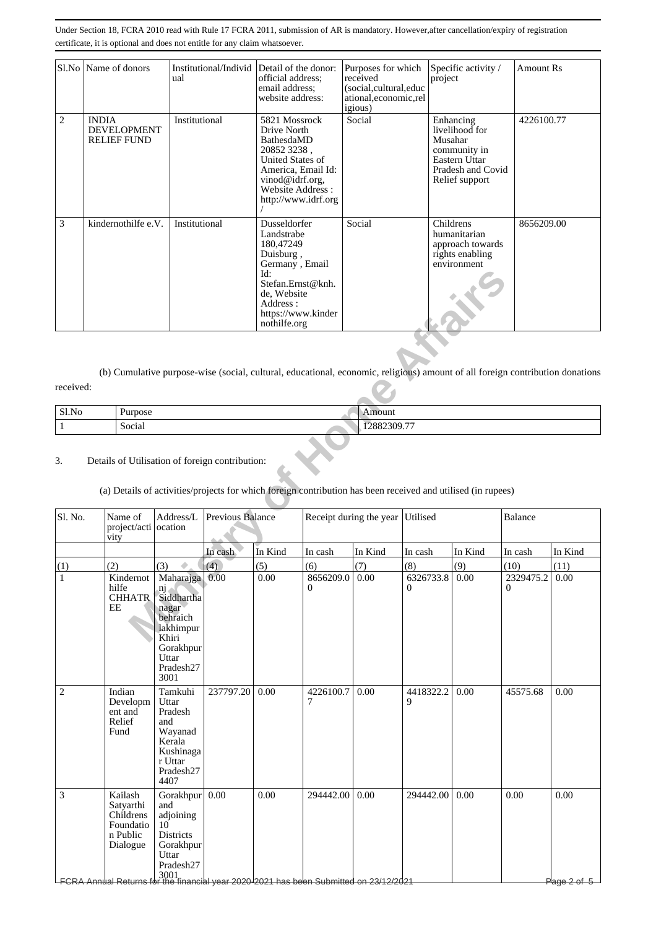|                | Sl.No   Name of donors                                   | Institutional/Individ Detail of the donor:<br>ual | official address;<br>email address;<br>website address:                                                                                                             | Purposes for which<br>received<br>(social,cultural,educ<br>ational, economic, rel<br><i>igious</i> ) | Specific activity /<br>project                                                                                 | <b>Amount Rs</b> |
|----------------|----------------------------------------------------------|---------------------------------------------------|---------------------------------------------------------------------------------------------------------------------------------------------------------------------|------------------------------------------------------------------------------------------------------|----------------------------------------------------------------------------------------------------------------|------------------|
| $\overline{c}$ | <b>INDIA</b><br><b>DEVELOPMENT</b><br><b>RELIEF FUND</b> | Institutional                                     | 5821 Mossrock<br>Drive North<br>BathesdaMD<br>20852 3238,<br>United States of<br>America, Email Id:<br>vinod@idrf.org,<br>Website Address:<br>http://www.idrf.org   | Social                                                                                               | Enhancing<br>livelihood for<br>Musahar<br>community in<br>Eastern Uttar<br>Pradesh and Covid<br>Relief support | 4226100.77       |
| 3              | kindernothilfe e.V.                                      | Institutional                                     | Dusseldorfer<br>Landstrabe<br>180,47249<br>Duisburg,<br>Germany, Email<br>Id:<br>Stefan.Ernst@knh.<br>de, Website<br>Address:<br>https://www.kinder<br>nothilfe.org | Social                                                                                               | Childrens<br>humanitarian<br>approach towards<br>rights enabling<br>environment                                | 8656209.00       |

| Sl.No | -<br><i>d</i> urpose | nount                       |
|-------|----------------------|-----------------------------|
|       | c<br>Social          | $\overline{a}$<br>2882309.7 |

#### 3. Details of Utilisation of foreign contribution:

# (a) Details of activities/projects for which foreign contribution has been received and utilised (in rupees)

|                   |                                                                                                                                                                           |                                                                                                                                  |                  | Id:<br>Stefan.Ernst@knh.<br>de, Website<br>Address :<br>https://www.kinder<br>nothilfe.org |                       |                         |                       |             |                                                                                                                               |                                 |
|-------------------|---------------------------------------------------------------------------------------------------------------------------------------------------------------------------|----------------------------------------------------------------------------------------------------------------------------------|------------------|--------------------------------------------------------------------------------------------|-----------------------|-------------------------|-----------------------|-------------|-------------------------------------------------------------------------------------------------------------------------------|---------------------------------|
| received:         |                                                                                                                                                                           |                                                                                                                                  |                  |                                                                                            |                       |                         |                       |             | (b) Cumulative purpose-wise (social, cultural, educational, economic, religious) amount of all foreign contribution donations |                                 |
| Sl.No             | Purpose                                                                                                                                                                   |                                                                                                                                  |                  |                                                                                            |                       | Amount<br>12882309.77   |                       |             |                                                                                                                               |                                 |
| $\mathbf 1$<br>3. | Social<br>Details of Utilisation of foreign contribution:<br>(a) Details of activities/projects for which foreign contribution has been received and utilised (in rupees) |                                                                                                                                  |                  |                                                                                            |                       |                         |                       |             |                                                                                                                               |                                 |
| Sl. No.           | Name of<br>project/acti ocation<br>vity                                                                                                                                   | Address/L                                                                                                                        | Previous Balance |                                                                                            |                       | Receipt during the year | Utilised              |             | Balance                                                                                                                       |                                 |
|                   |                                                                                                                                                                           |                                                                                                                                  | In cash          | In Kind                                                                                    | In cash               | In Kind                 | In cash               | In Kind     | In cash                                                                                                                       | In Kind                         |
| (1)<br>1          | (2)<br>Kindernot<br>hilfe<br><b>CHHATR</b><br>EE                                                                                                                          | (3)<br>Maharajga 0.00<br>nj.<br>Siddhartha<br>nagar<br>behraich<br>lakhimpur<br>Khiri<br>Gorakhpur<br>Uttar<br>Pradesh27<br>3001 | (4)              | (5)<br>0.00                                                                                | (6)<br>8656209.0<br>0 | (7)<br>0.00             | (8)<br>6326733.8<br>0 | (9)<br>0.00 | (10)<br>2329475.2<br>$\mathbf{0}$                                                                                             | (11)<br>0.00                    |
| $\overline{c}$    | Indian<br>Developm<br>ent and<br>Relief<br>Fund                                                                                                                           | Tamkuhi<br>Uttar<br>Pradesh<br>and<br>Wayanad<br>Kerala<br>Kushinaga<br>r Uttar<br>Pradesh27<br>4407                             | 237797.20        | 0.00                                                                                       | 4226100.7<br>7        | 0.00                    | 4418322.2<br>9        | 0.00        | 45575.68                                                                                                                      | 0.00                            |
| 3                 | Kailash<br>Satyarthi<br>Childrens<br>Foundatio<br>n Public<br>Dialogue<br><b>FCRA Annual Returns</b>                                                                      | Gorakhpur 0.00<br>and<br>adjoining<br>10<br><b>Districts</b><br>Gorakhpur<br>Uttar<br>Pradesh27                                  |                  | 0.00                                                                                       | 294442.00             | 0.00                    | 294442.00             | 0.00        | 0.00                                                                                                                          | 0.00<br><del>Plage 2 of 5</del> |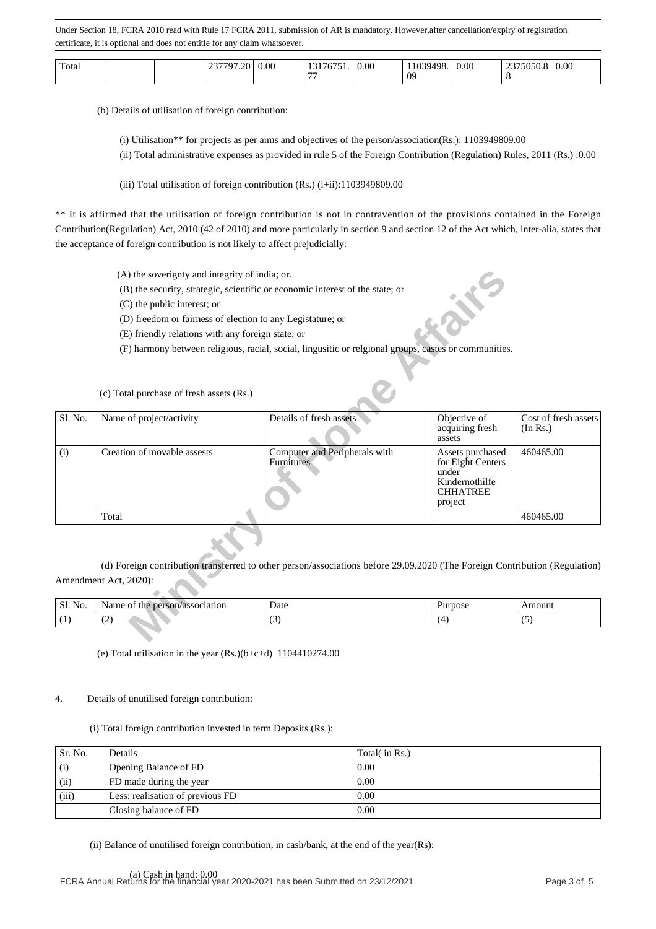| Total |  |  | $\cdots$<br>$20^{\circ}$<br>. .<br>$\sim$<br><u>_</u> | $_{0.00}$ | $1 - 7 - 7$<br>$\sim$<br>$\overline{\phantom{a}}$ | 0.00 | '9498.<br>0 <sup>o</sup> | 0.00 | $\frac{1}{2} \frac{1}{2} \frac{1}{2} \frac{1}{2} \frac{1}{2} \frac{1}{2} \frac{1}{2} \frac{1}{2} \frac{1}{2} \frac{1}{2} \frac{1}{2} \frac{1}{2} \frac{1}{2} \frac{1}{2} \frac{1}{2} \frac{1}{2} \frac{1}{2} \frac{1}{2} \frac{1}{2} \frac{1}{2} \frac{1}{2} \frac{1}{2} \frac{1}{2} \frac{1}{2} \frac{1}{2} \frac{1}{2} \frac{1}{2} \frac{1}{2} \frac{1}{2} \frac{1}{2} \frac{1}{2} \frac{$<br>11 | 0.00 |
|-------|--|--|-------------------------------------------------------|-----------|---------------------------------------------------|------|--------------------------|------|----------------------------------------------------------------------------------------------------------------------------------------------------------------------------------------------------------------------------------------------------------------------------------------------------------------------------------------------------------------------------------------------------|------|
|-------|--|--|-------------------------------------------------------|-----------|---------------------------------------------------|------|--------------------------|------|----------------------------------------------------------------------------------------------------------------------------------------------------------------------------------------------------------------------------------------------------------------------------------------------------------------------------------------------------------------------------------------------------|------|

(b) Details of utilisation of foreign contribution:

(i) Utilisation\*\* for projects as per aims and objectives of the person/association(Rs.): 1103949809.00

(ii) Total administrative expenses as provided in rule 5 of the Foreign Contribution (Regulation) Rules, 2011 (Rs.) :0.00

(iii) Total utilisation of foreign contribution  $(Rs.)$  (i+ii):1103949809.00

\*\* It is affirmed that the utilisation of foreign contribution is not in contravention of the provisions contained in the Foreign Contribution(Regulation) Act, 2010 (42 of 2010) and more particularly in section 9 and section 12 of the Act which, inter-alia, states that the acceptance of foreign contribution is not likely to affect prejudicially:

|         | (A) the soverignty and integrity of india; or.             |                                                                                                                            |                                                                                                |                                  |
|---------|------------------------------------------------------------|----------------------------------------------------------------------------------------------------------------------------|------------------------------------------------------------------------------------------------|----------------------------------|
|         |                                                            | (B) the security, strategic, scientific or economic interest of the state; or                                              |                                                                                                |                                  |
|         | (C) the public interest; or                                |                                                                                                                            |                                                                                                |                                  |
|         | (D) freedom or fairness of election to any Legistature; or |                                                                                                                            |                                                                                                |                                  |
|         | (E) friendly relations with any foreign state; or          |                                                                                                                            |                                                                                                |                                  |
|         |                                                            | (F) harmony between religious, racial, social, lingusitic or relgional groups, castes or communities.                      |                                                                                                |                                  |
|         |                                                            |                                                                                                                            |                                                                                                |                                  |
|         | (c) Total purchase of fresh assets (Rs.)                   |                                                                                                                            |                                                                                                |                                  |
| Sl. No. | Name of project/activity                                   | Details of fresh assets                                                                                                    | Objective of<br>acquiring fresh<br>assets                                                      | Cost of fresh assets<br>(In Rs.) |
| (i)     | Creation of movable assests                                | Computer and Peripherals with<br>Furnitures                                                                                | Assets purchased<br>for Eight Centers<br>under<br>Kindernothilfe<br><b>CHHATREE</b><br>project | 460465.00                        |
|         | Total                                                      |                                                                                                                            |                                                                                                | 460465.00                        |
|         |                                                            | (d) Foreign contribution transferred to other person/associations before 29.09.2020 (The Foreign Contribution (Regulation) |                                                                                                |                                  |
|         | Amendment Act, 2020):                                      |                                                                                                                            |                                                                                                |                                  |
|         |                                                            |                                                                                                                            |                                                                                                |                                  |
| Sl. No. | Name of the person/association                             | Date                                                                                                                       | Purpose                                                                                        | Amount                           |
| (1)     | (2)                                                        | (3)                                                                                                                        | (4)                                                                                            | (5)                              |
|         |                                                            |                                                                                                                            |                                                                                                |                                  |

| Sl.<br>No. | person/association<br>Nam <sup>e</sup><br>the<br>'UΙ | Date                            | <b>Purpose</b> | Amount |
|------------|------------------------------------------------------|---------------------------------|----------------|--------|
|            | $\sim$<br>. <u>. .</u>                               | $\sim$<br>$\tilde{\phantom{a}}$ |                | $\sim$ |

(e) Total utilisation in the year (Rs.)(b+c+d) 1104410274.00

#### 4. Details of unutilised foreign contribution:

(i) Total foreign contribution invested in term Deposits (Rs.):

| Sr. No. | Details                          | Total( in Rs.) |
|---------|----------------------------------|----------------|
| (i)     | Opening Balance of FD            | 0.00           |
| (ii)    | FD made during the year          | 0.00           |
| (iii)   | Less: realisation of previous FD | 0.00           |
|         | Closing balance of FD            | 0.00           |

(ii) Balance of unutilised foreign contribution, in cash/bank, at the end of the year(Rs):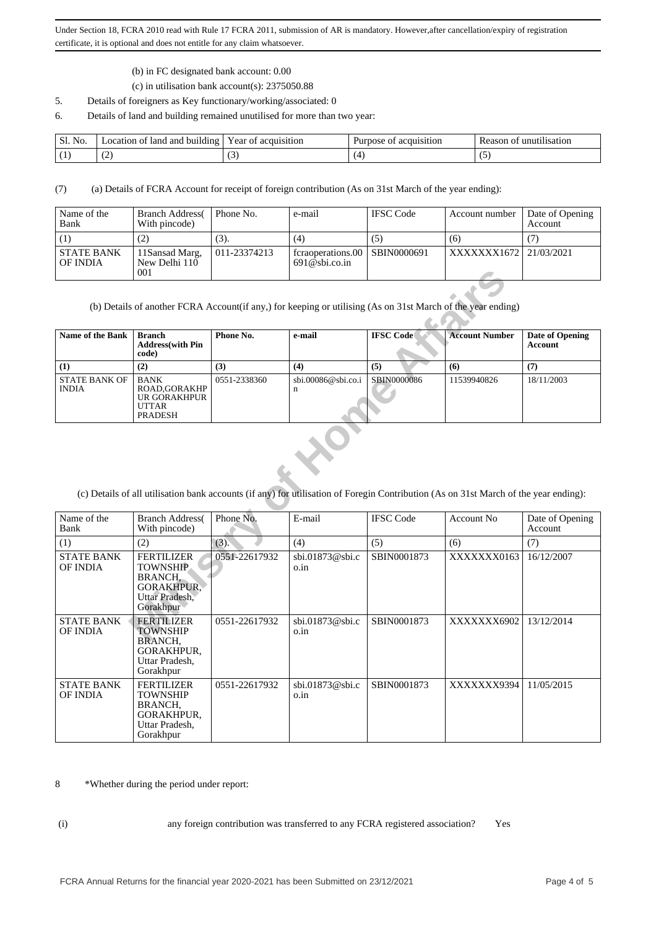- (b) in FC designated bank account: 0.00
- (c) in utilisation bank account(s): 2375050.88
- 5. Details of foreigners as Key functionary/working/associated: 0
- 6. Details of land and building remained unutilised for more than two year:

| Sl.<br>No. | Location of land and building | of acquisition<br>ear | Purpose<br>acquisition<br>ОT | unutilisation<br>Reason<br>ОŤ |
|------------|-------------------------------|-----------------------|------------------------------|-------------------------------|
|            | $\sim$                        | ιJ                    |                              |                               |

(7) (a) Details of FCRA Account for receipt of foreign contribution (As on 31st March of the year ending):

| Name of the<br>Bank           | <b>Branch Address</b><br>With pincode)  | Phone No.    | e-mail                                              | <b>IFSC</b> Code | Account number        | Date of Opening<br><b>Account</b> |
|-------------------------------|-----------------------------------------|--------------|-----------------------------------------------------|------------------|-----------------------|-----------------------------------|
|                               |                                         | (3).         | (4)                                                 | (5)              | (6)                   |                                   |
| <b>STATE BANK</b><br>OF INDIA | 11 Sansad Marg,<br>New Delhi 110<br>001 | 011-23374213 | fcraoperations.00   SBIN0000691<br>$691@$ sbi.co.in |                  | XXXXXX1672 21/03/2021 |                                   |

| <b>Name of the Bank</b>       | Branch<br><b>Address</b> (with Pin<br>code)                            | Phone No.    | e-mail                           | <b>IFSC</b> Code | <b>Account Number</b> | Date of Opening<br>Account |
|-------------------------------|------------------------------------------------------------------------|--------------|----------------------------------|------------------|-----------------------|----------------------------|
| $\bf(1)$                      | (2)                                                                    | (3)          | (4)                              | (5)              | (6)                   |                            |
| STATE BANK OF<br><b>INDIA</b> | <b>BANK</b><br>ROAD.GORAKHP<br>UR GORAKHPUR<br>UTTAR<br><b>PRADESH</b> | 0551-2338360 | $\text{sbi.00086@sbi.co.i}$<br>n | SBIN0000086      | 11539940826           | 18/11/2003                 |

|                                                                                                                                      | 001                                                                                                        |               |                                   |                  |                       |                                          |  |  |
|--------------------------------------------------------------------------------------------------------------------------------------|------------------------------------------------------------------------------------------------------------|---------------|-----------------------------------|------------------|-----------------------|------------------------------------------|--|--|
| (b) Details of another FCRA Account(if any,) for keeping or utilising (As on 31st March of the year ending)                          |                                                                                                            |               |                                   |                  |                       |                                          |  |  |
| Name of the Bank                                                                                                                     | <b>Branch</b><br><b>Address</b> (with Pin<br>code)                                                         | Phone No.     | e-mail                            | <b>IFSC Code</b> | <b>Account Number</b> | <b>Date of Opening</b><br><b>Account</b> |  |  |
| (1)                                                                                                                                  | (2)                                                                                                        | (3)           | (4)                               | (5)              | (6)                   | (7)                                      |  |  |
| <b>STATE BANK OF</b><br><b>INDIA</b>                                                                                                 | <b>BANK</b><br>ROAD, GORAKHP<br><b>UR GORAKHPUR</b><br><b>UTTAR</b><br><b>PRADESH</b>                      | 0551-2338360  | sbi.00086@sbi.co.i<br>$\mathbf n$ | SBIN0000086      | 11539940826           | 18/11/2003                               |  |  |
| (c) Details of all utilisation bank accounts (if any) for utilisation of Foregin Contribution (As on 31st March of the year ending): |                                                                                                            |               |                                   |                  |                       |                                          |  |  |
| Name of the<br>Bank                                                                                                                  | <b>Branch Address</b><br>With pincode)                                                                     | Phone No.     | E-mail                            | <b>IFSC Code</b> | <b>Account No</b>     | Date of Opening<br>Account               |  |  |
| (1)                                                                                                                                  | (2)                                                                                                        | (3).          | (4)                               | (5)              | (6)                   | (7)                                      |  |  |
| <b>STATE BANK</b><br>OF INDIA                                                                                                        | <b>FERTILIZER</b><br><b>TOWNSHIP</b><br><b>BRANCH.</b><br><b>GORAKHPUR,</b><br>Uttar Pradesh,<br>Gorakhpur | 0551-22617932 | sbi.01873@sbi.c<br>o.in           | SBIN0001873      | XXXXXXX0163           | 16/12/2007                               |  |  |
| <b>STATE BANK</b><br><b>OF INDIA</b>                                                                                                 | <b>FERTILIZER</b><br><b>TOWNSHIP</b><br><b>BRANCH,</b><br>GORAKHPUR,<br>Uttar Pradesh,<br>Gorakhpur        | 0551-22617932 | sbi.01873@sbi.c<br>o.in           | SBIN0001873      | XXXXXXX6902           | 13/12/2014                               |  |  |
| <b>STATE BANK</b><br>OF INDIA                                                                                                        | <b>FERTILIZER</b><br><b>TOWNSHIP</b><br>BRANCH,<br>GORAKHPUR,<br>Uttar Pradesh,<br>Gorakhpur               | 0551-22617932 | sbi.01873@sbi.c<br>o.in           | SBIN0001873      | XXXXXXX9394           | 11/05/2015                               |  |  |

8 \*Whether during the period under report:

(i) any foreign contribution was transferred to any FCRA registered association? Yes